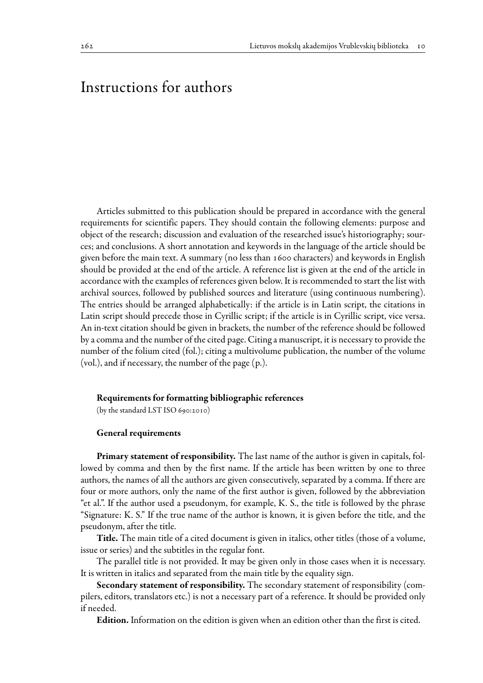# Instructions for authors

Articles submitted to this publication should be prepared in accordance with the general requirements for scientific papers. They should contain the following elements: purpose and object of the research; discussion and evaluation of the researched issue's historiography; sources; and conclusions. A short annotation and keywords in the language of the article should be given before the main text. A summary (no less than 1600 characters) and keywords in English should be provided at the end of the article. A reference list is given at the end of the article in accordance with the examples of references given below. It is recommended to start the list with archival sources, followed by published sources and literature (using continuous numbering). The entries should be arranged alphabetically: if the article is in Latin script, the citations in Latin script should precede those in Cyrillic script; if the article is in Cyrillic script, vice versa. An in-text citation should be given in brackets, the number of the reference should be followed by a comma and the number of the cited page. Citing a manuscript, it is necessary to provide the number of the folium cited (fol.); citing a multivolume publication, the number of the volume (vol.), and if necessary, the number of the page (p.).

#### Requirements for formatting bibliographic references

(by the standard LST ISO 690:2010)

### General requirements

Primary statement of responsibility. The last name of the author is given in capitals, followed by comma and then by the first name. If the article has been written by one to three authors, the names of all the authors are given consecutively, separated by a comma. If there are four or more authors, only the name of the first author is given, followed by the abbreviation "et al.". If the author used a pseudonym, for example, K. S., the title is followed by the phrase "Signature: K. S." If the true name of the author is known, it is given before the title, and the pseudonym, after the title.

Title. The main title of a cited document is given in italics, other titles (those of a volume, issue or series) and the subtitles in the regular font.

The parallel title is not provided. It may be given only in those cases when it is necessary. It is written in italics and separated from the main title by the equality sign.

Secondary statement of responsibility. The secondary statement of responsibility (compilers, editors, translators etc.) is not a necessary part of a reference. It should be provided only if needed.

Edition. Information on the edition is given when an edition other than the first is cited.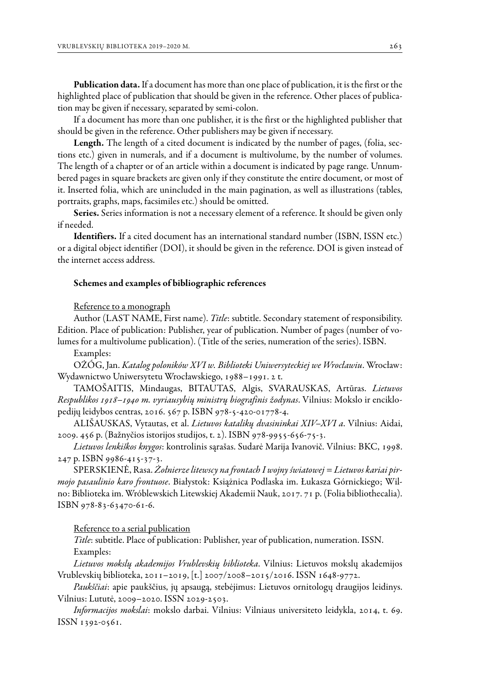Publication data. If a document has more than one place of publication, it is the first or the highlighted place of publication that should be given in the reference. Other places of publication may be given if necessary, separated by semi-colon.

If a document has more than one publisher, it is the first or the highlighted publisher that should be given in the reference. Other publishers may be given if necessary.

Length. The length of a cited document is indicated by the number of pages, (folia, sections etc.) given in numerals, and if a document is multivolume, by the number of volumes. The length of a chapter or of an article within a document is indicated by page range. Unnumbered pages in square brackets are given only if they constitute the entire document, or most of it. Inserted folia, which are unincluded in the main pagination, as well as illustrations (tables, portraits, graphs, maps, facsimiles etc.) should be omitted.

Series. Series information is not a necessary element of a reference. It should be given only if needed.

Identifiers. If a cited document has an international standard number (ISBN, ISSN etc.) or a digital object identifier (DOI), it should be given in the reference. DOI is given instead of the internet access address.

#### Schemes and examples of bibliographic references

#### Reference to a monograph

Author (LAST NAME, First name). *Title*: subtitle. Secondary statement of responsibility. Edition. Place of publication: Publisher, year of publication. Number of pages (number of volumes for a multivolume publication). (Title of the series, numeration of the series). ISBN.

## Examples:

OŻÓG, Jan. *Katalog poloników XVI w. Biblioteki Uniwersyteckiej we Wrocławiu*. Wrocław: Wydawnictwo Uniwersytetu Wrocławskiego, 1988–1991. 2 t.

TAMOŠAITIS, Mindaugas, BITAUTAS, Algis, SVARAUSKAS, Artūras. *Lietuvos Respublikos 1918–1940 m. vyriausybių ministrų biografinis žodynas*. Vilnius: Mokslo ir enciklopedijų leidybos centras, 2016. 567 p. ISBN 978-5-420-01778-4.

ALIŠAUSKAS, Vytautas, et al. *Lietuvos katalikų dvasininkai XIV–XVI a*. Vilnius: Aidai, 2009. 456 p. (Bažnyčios istorijos studijos, t. 2). ISBN 978-9955-656-75-3.

*Lietuvos lenkiškos knygos*: kontrolinis sąrašas. Sudarė Marija Ivanovič. Vilnius: BKC, 1998. 247 p. ISBN 9986-415-37-3.

SPERSKIENĖ, Rasa. *Żołnierze litewscy na frontach I wojny światowej = Lietuvos kariai pirmojo pasaulinio karo frontuose*. Białystok: Książnica Podlaska im. Łukasza Górnickiego; Wilno: Biblioteka im. Wróblewskich Litewskiej Akademii Nauk, 2017. 71 p. (Folia bibliothecalia). ISBN 978-83-63470-61-6.

Reference to a serial publication

*Title*: subtitle. Place of publication: Publisher, year of publication, numeration. ISSN. Examples:

*Lietuvos mokslų akademijos Vrublevskių biblioteka*. Vilnius: Lietuvos mokslų akademijos Vrublevskių biblioteka, 2011–2019, [t.] 2007/2008–2015/2016. ISSN 1648-9772.

*Paukščiai*: apie paukščius, jų apsaugą, stebėjimus: Lietuvos ornitologų draugijos leidinys. Vilnius: Lututė, 2009–2020. ISSN 2029-2503.

*Informacijos mokslai*: mokslo darbai. Vilnius: Vilniaus universiteto leidykla, 2014, t. 69. ISSN 1392-0561.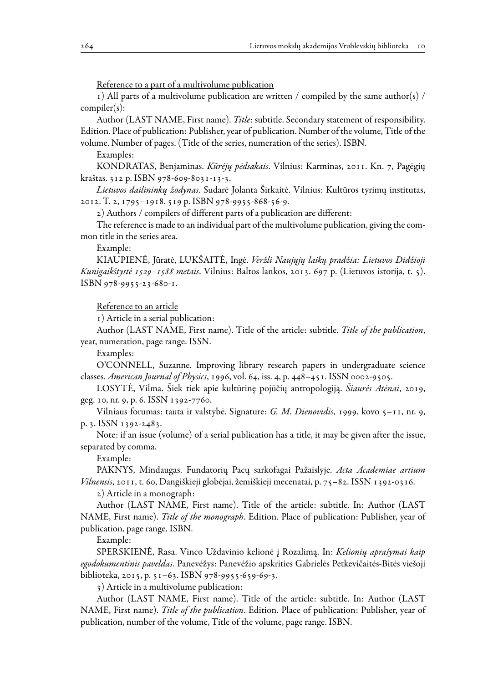Reference to a part of a multivolume publication

1) All parts of a multivolume publication are written / compiled by the same author(s) / compiler(s):

Author (LAST NAME, First name). *Title*: subtitle. Secondary statement of responsibility. Edition. Place of publication: Publisher, year of publication. Number of the volume, Title of the volume. Number of pages. (Title of the series, numeration of the series). ISBN.

Examples:

KONDRATAS, Benjaminas. *Kūrėjų pėdsakais*. Vilnius: Karminas, 2011. Kn. 7, Pagėgių kraštas. 312 p. ISBN 978-609-8031-13-3.

*Lietuvos dailininkų žodynas*. Sudarė Jolanta Širkaitė. Vilnius: Kultūros tyrimų institutas, 2012. T. 2, 1795–1918. 519 p. ISBN 978-9955-868-56-9.

2) Authors / compilers of different parts of a publication are different:

The reference is made to an individual part of the multivolume publication, giving the common title in the series area.

Example:

KIAUPIENĖ, Jūratė, LUKŠAITĖ, Ingė. *Veržli Naujųjų laikų pradžia: Lietuvos Didžioji Kunigaikštystė 1529–1588 metais*. Vilnius: Baltos lankos, 2013. 697 p. (Lietuvos istorija, t. 5). ISBN 978-9955-23-680-1.

Reference to an article

1) Article in a serial publication:

Author (LAST NAME, First name). Title of the article: subtitle. *Title of the publication*, year, numeration, page range. ISSN.

Examples:

O'CONNELL, Suzanne. Improving library research papers in undergraduate science classes. *American Journal of Physics*, 1996, vol. 64, iss. 4, p. 448–451. ISSN 0002-9505.

LOSYTĖ, Vilma. Šiek tiek apie kultūrinę pojūčių antropologiją. *Šiaurės Atėnai*, 2019, geg. 10, nr. 9, p. 6. ISSN 1392-7760.

Vilniaus forumas: tauta ir valstybė. Signature: *G. M. Dienovidis*, 1999, kovo 5–11, nr. 9, p. 3. ISSN 1392-2483.

Note: if an issue (volume) of a serial publication has a title, it may be given after the issue, separated by comma.

Example:

PAKNYS, Mindaugas. Fundatorių Pacų sarkofagai Pažaislyje. *Acta Academiae artium Vilnensis*, 2011, t. 60, Dangiškieji globėjai, žemiškieji mecenatai, p. 75–82. ISSN 1392-0316.

2) Article in a monograph:

Author (LAST NAME, First name). Title of the article: subtitle. In: Author (LAST NAME, First name). *Title of the monograph*. Edition. Place of publication: Publisher, year of publication, page range. ISBN.

Example:

SPERSKIENĖ, Rasa. Vinco Uždavinio kelionė į Rozalimą. In: *Kelionių aprašymai kaip egodokumentinis paveldas*. Panevėžys: Panevėžio apskrities Gabrielės Petkevičaitės-Bitės viešoji biblioteka, 2015, p. 51–63. ISBN 978-9955-659-69-3.

3) Article in a multivolume publication:

Author (LAST NAME, First name). Title of the article: subtitle. In: Author (LAST NAME, First name). *Title of the publication*. Edition. Place of publication: Publisher, year of publication, number of the volume, Title of the volume, page range. ISBN.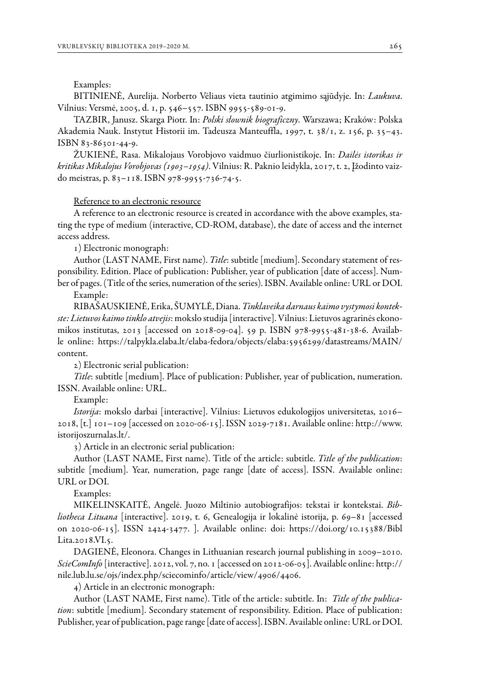#### Examples:

BITINIENĖ, Aurelija. Norberto Vėliaus vieta tautinio atgimimo sąjūdyje. In: *Laukuva*. Vilnius: Versmė, 2005, d. 1, p. 546–557. ISBN 9955-589-01-9.

TAZBIR, Janusz. Skarga Piotr. In: *Polski słownik biograficzny*. Warszawa; Kraków: Polska Akademia Nauk. Instytut Historii im. Tadeusza Manteuffla, 1997, t. 38/1, z. 156, p. 35–43. ISBN 83-86301-44-9.

ŽUKIENĖ, Rasa. Mikalojaus Vorobjovo vaidmuo čiurlionistikoje. In: *Dailės istorikas ir kritikas Mikalojus Vorobjovas (1903–1954)*. Vilnius: R. Paknio leidykla, 2017, t. 2, Įžodinto vaizdo meistras, p. 83–118. ISBN 978-9955-736-74-5.

## Reference to an electronic resource

A reference to an electronic resource is created in accordance with the above examples, stating the type of medium (interactive, CD-ROM, database), the date of access and the internet access address.

1) Electronic monograph:

Author (LAST NAME, First name). *Title*: subtitle [medium]. Secondary statement of responsibility. Edition. Place of publication: Publisher, year of publication [date of access]. Number of pages. (Title of the series, numeration of the series). ISBN. Available online: URL or DOI.

Example:

RIBAŠAUSKIENĖ, Erika, ŠUMYLĖ, Diana. *Tinklaveika darnaus kaimo vystymosi kontekste: Lietuvos kaimo tinklo atvejis*: mokslo studija [interactive]. Vilnius: Lietuvos agrarinės ekonomikos institutas, 2013 [accessed on 2018-09-04]. 59 p. ISBN 978-9955-481-38-6. Available online: https://talpykla.elaba.lt/elaba-fedora/objects/elaba:5956299/datastreams/MAIN/ content.

2) Electronic serial publication:

*Title*: subtitle [medium]. Place of publication: Publisher, year of publication, numeration. ISSN. Available online: URL.

#### Example:

*Istorija*: mokslo darbai [interactive]. Vilnius: Lietuvos edukologijos universitetas, 2016– 2018, [t.] 101–109 [accessed on 2020-06-15]. ISSN 2029-7181. Available online: http://www. istorijoszurnalas.lt/.

3) Article in an electronic serial publication:

Author (LAST NAME, First name). Title of the article: subtitle. *Title of the publication*: subtitle [medium]. Year, numeration, page range [date of access]. ISSN. Available online: URL or DOI.

#### Examples:

MIKELINSKAITĖ, Angelė. Juozo Miltinio autobiografijos: tekstai ir kontekstai. *Bibliotheca Lituana* [interactive]. 2019, t. 6, Genealogija ir lokalinė istorija, p. 69–81 [accessed on 2020-06-15]. ISSN 2424-3477. ]. Available online: doi: https://doi.org/10.15388/Bibl Lita.2018.VI.5.

DAGIENĖ, Eleonora. Changes in Lithuanian research journal publishing in 2009–2010. *ScieComInfo* [interactive]. 2012, vol. 7, no. 1 [accessed on 2012-06-05]. Available online: http:// nile.lub.lu.se/ojs/index.php/sciecominfo/article/view/4906/4406.

4) Article in an electronic monograph:

Author (LAST NAME, First name). Title of the article: subtitle. In: *Title of the publication*: subtitle [medium]. Secondary statement of responsibility. Edition. Place of publication: Publisher, year of publication, page range [date of access]. ISBN. Available online: URL or DOI.